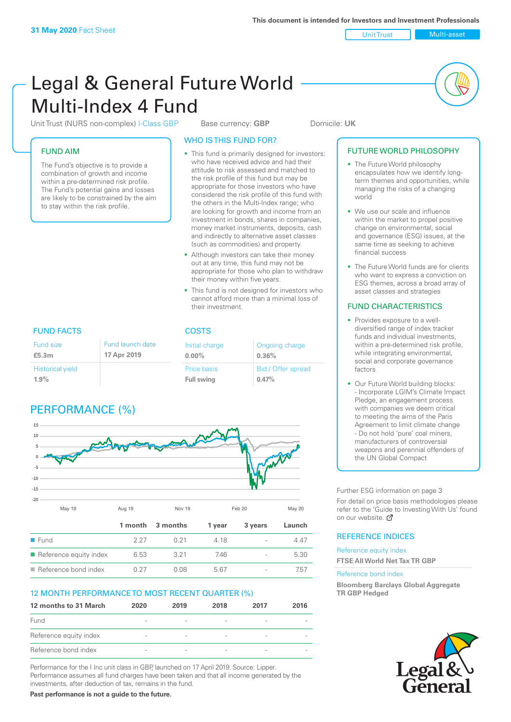Unit Trust Multi-asset

# Legal & General Future World Multi-Index 4 Fund

Unit Trust (NURS non-complex) I-Class GBP Base currency: **GBP** Domicile: UK

# FUND AIM

The Fund's objective is to provide a combination of growth and income within a pre-determined risk profile. The Fund's potential gains and losses are likely to be constrained by the aim to stay within the risk profile.

# WHO IS THIS FUND FOR?

- This fund is primarily designed for investors: who have received advice and had their attitude to risk assessed and matched to the risk profile of this fund but may be appropriate for those investors who have considered the risk profile of this fund with the others in the Multi-Index range; who are looking for growth and income from an investment in bonds, shares in companies, money market instruments, deposits, cash and indirectly to alternative asset classes (such as commodities) and property.
- Although investors can take their money out at any time, this fund may not be appropriate for those who plan to withdraw their money within five years.
- This fund is not designed for investors who cannot afford more than a minimal loss of their investment.

Ongoing charge

Bid / Offer spread

**0.36%**

**0.47%**

FUND FACTS COSTS Fund size **£5.3m** Initial charge **0.00%** Price basis **Full swing** Historical yield **1.9%** Fund launch date **17 Apr 2019**

# PERFORMANCE (%)



| $\blacksquare$ Fund                   | 2.27 | ∩ 21 | 418 | 44'  |
|---------------------------------------|------|------|-----|------|
| $\blacksquare$ Reference equity index | 6.53 | 3.21 | 746 | 5.30 |
| $\blacksquare$ Reference bond index   | በ 27 | N U8 | 567 | .b   |

# 12 MONTH PERFORMANCE TO MOST RECENT QUARTER (%)

| 12 months to 31 March  | 2020                     | 2019                     | 2018                     | 2017                     | 2016 |
|------------------------|--------------------------|--------------------------|--------------------------|--------------------------|------|
| Fund                   |                          |                          | $\overline{\phantom{a}}$ |                          |      |
| Reference equity index | $\overline{\phantom{a}}$ | $\overline{\phantom{a}}$ | $\overline{\phantom{a}}$ | $\overline{\phantom{a}}$ |      |
| Reference bond index   | $\sim$                   | $\overline{\phantom{a}}$ | $\overline{\phantom{a}}$ |                          |      |

Performance for the I Inc unit class in GBP, launched on 17 April 2019. Source: Lipper. Performance assumes all fund charges have been taken and that all income generated by the investments, after deduction of tax, remains in the fund.

**Past performance is not a guide to the future.**

# FUTURE WORLD PHILOSOPHY

- The Future World philosophy encapsulates how we identify longterm themes and opportunities, while managing the risks of a changing world
- We use our scale and influence within the market to propel positive change on environmental, social and governance (ESG) issues, at the same time as seeking to achieve financial success
- The Future World funds are for clients who want to express a conviction on ESG themes, across a broad array of asset classes and strategies

# FUND CHARACTERISTICS

- Provides exposure to a welldiversified range of index tracker funds and individual investments, within a pre-determined risk profile. while integrating environmental, social and corporate governance factors
- Our Future World building blocks: - Incorporate LGIM's Climate Impact Pledge, an engagement process with companies we deem critical to meeting the aims of the Paris Agreement to limit climate change - Do not hold 'pure' coal miners, manufacturers of controversial weapons and perennial offenders of the UN Global Compact

Further ESG information on page 3

For detail on price basis methodologies please refer to the 'Guide to Investing With Us' found on our website. a

# REFERENCE INDICES

Reference equity index **FTSE All World Net Tax TR GBP**

#### Reference bond index

**Bloomberg Barclays Global Aggregate TR GBP Hedged**

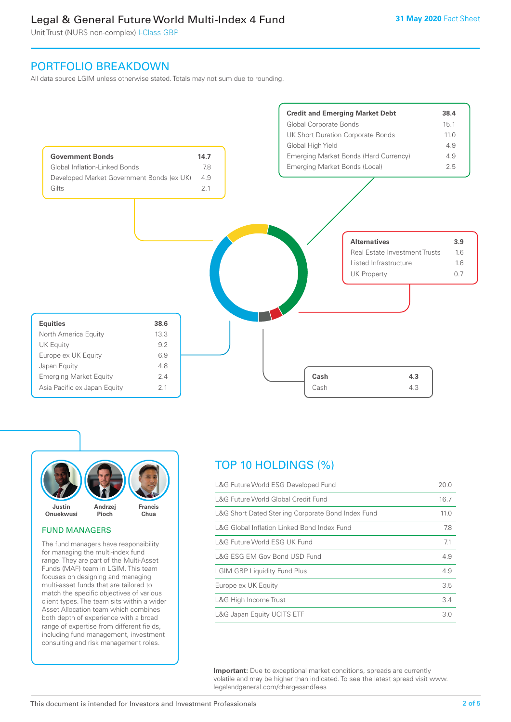# Legal & General Future World Multi-Index 4 Fund

Unit Trust (NURS non-complex) I-Class GBP

# PORTFOLIO BREAKDOWN

All data source LGIM unless otherwise stated. Totals may not sum due to rounding.





#### FUND MANAGERS

The fund managers have responsibility for managing the multi-index fund range. They are part of the Multi-Asset Funds (MAF) team in LGIM. This team focuses on designing and managing multi-asset funds that are tailored to match the specific objectives of various client types. The team sits within a wider Asset Allocation team which combines both depth of experience with a broad range of expertise from different fields, including fund management, investment consulting and risk management roles.

# TOP 10 HOLDINGS (%)

| L&G Future World ESG Developed Fund                | 20.0 |
|----------------------------------------------------|------|
| L&G Future World Global Credit Fund                | 16.7 |
| L&G Short Dated Sterling Corporate Bond Index Fund | 11.0 |
| L&G Global Inflation Linked Bond Index Fund        | 7.8  |
| L&G Future World ESG UK Fund                       | 7.1  |
| L&G ESG EM Gov Bond USD Fund                       | 4.9  |
| <b>LGIM GBP Liquidity Fund Plus</b>                | 4.9  |
| Europe ex UK Equity                                | 3.5  |
| L&G High Income Trust                              | 3.4  |
| L&G Japan Equity UCITS ETF                         | 3.0  |

**Important:** Due to exceptional market conditions, spreads are currently volatile and may be higher than indicated. To see the latest spread visit www. legalandgeneral.com/chargesandfees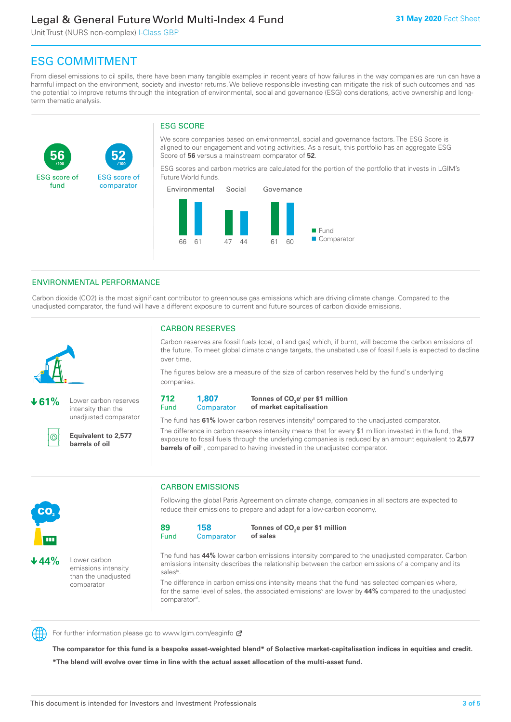# Legal & General Future World Multi-Index 4 Fund

Unit Trust (NURS non-complex) I-Class GBP

**52**

ESG score of comparator

# ESG COMMITMENT

**/100 /100**

From diesel emissions to oil spills, there have been many tangible examples in recent years of how failures in the way companies are run can have a harmful impact on the environment, society and investor returns. We believe responsible investing can mitigate the risk of such outcomes and has the potential to improve returns through the integration of environmental, social and governance (ESG) considerations, active ownership and longterm thematic analysis.

# ESG SCORE

We score companies based on environmental, social and governance factors. The ESG Score is aligned to our engagement and voting activities. As a result, this portfolio has an aggregate ESG Score of **56** versus a mainstream comparator of **52**.

ESG scores and carbon metrics are calculated for the portion of the portfolio that invests in LGIM's Future World funds.



# ENVIRONMENTAL PERFORMANCE

Carbon dioxide (CO2) is the most significant contributor to greenhouse gas emissions which are driving climate change. Compared to the unadjusted comparator, the fund will have a different exposure to current and future sources of carbon dioxide emissions.



**56**

ESG score of fund

**61%** Lower carbon reserves

intensity than the unadjusted comparator

൹

CO<sub>2</sub>

**44%** Lower carbon

emissions intensity than the unadjusted comparator

**Equivalent to 2,577 barrels of oil**

# CARBON RESERVES

Carbon reserves are fossil fuels (coal, oil and gas) which, if burnt, will become the carbon emissions of the future. To meet global climate change targets, the unabated use of fossil fuels is expected to decline over time.

The figures below are a measure of the size of carbon reserves held by the fund's underlying companies.

**712** Fund **1,807 Comparator** 

**Tonnes of CO2 ei per \$1 million of market capitalisation**

The fund has **61%** lower carbon reserves intensityii compared to the unadjusted comparator. The difference in carbon reserves intensity means that for every \$1 million invested in the fund, the exposure to fossil fuels through the underlying companies is reduced by an amount equivalent to **2,577 barrels of oil**<sup>iii</sup>, compared to having invested in the unadjusted comparator.



Following the global Paris Agreement on climate change, companies in all sectors are expected to reduce their emissions to prepare and adapt for a low-carbon economy.



**Tonnes of CO2 e per \$1 million of sales**

The fund has **44%** lower carbon emissions intensity compared to the unadjusted comparator. Carbon emissions intensity describes the relationship between the carbon emissions of a company and its salesiv

The difference in carbon emissions intensity means that the fund has selected companies where, for the same level of sales, the associated emissions<sup>v</sup> are lower by 44% compared to the unadjusted comparator<sup>vi</sup>.



For further information please go to www.lgim.com/esginfo Ø

**The comparator for this fund is a bespoke asset-weighted blend\* of Solactive market-capitalisation indices in equities and credit. \*The blend will evolve over time in line with the actual asset allocation of the multi-asset fund.**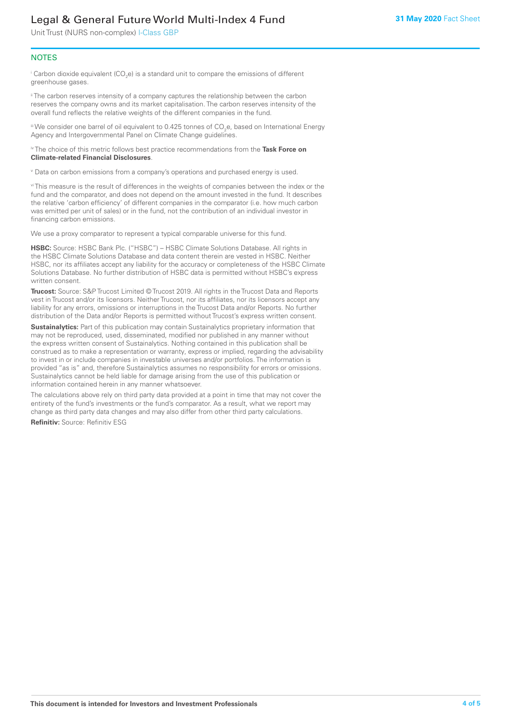# Legal & General Future World Multi-Index 4 Fund

Unit Trust (NURS non-complex) I-Class GBP

# **NOTES**

 $^\mathrm{i}$  Carbon dioxide equivalent (CO<sub>2</sub>e) is a standard unit to compare the emissions of different greenhouse gases.

<sup>ii</sup> The carbon reserves intensity of a company captures the relationship between the carbon reserves the company owns and its market capitalisation. The carbon reserves intensity of the overall fund reflects the relative weights of the different companies in the fund.

iii We consider one barrel of oil equivalent to 0.425 tonnes of CO<sub>2</sub>e, based on International Energy Agency and Intergovernmental Panel on Climate Change guidelines.

#### iv The choice of this metric follows best practice recommendations from the **Task Force on Climate-related Financial Disclosures**.

v Data on carbon emissions from a company's operations and purchased energy is used.

vi This measure is the result of differences in the weights of companies between the index or the fund and the comparator, and does not depend on the amount invested in the fund. It describes the relative 'carbon efficiency' of different companies in the comparator (i.e. how much carbon was emitted per unit of sales) or in the fund, not the contribution of an individual investor in financing carbon emissions.

We use a proxy comparator to represent a typical comparable universe for this fund.

**HSBC:** Source: HSBC Bank Plc. ("HSBC") – HSBC Climate Solutions Database. All rights in the HSBC Climate Solutions Database and data content therein are vested in HSBC. Neither HSBC, nor its affiliates accept any liability for the accuracy or completeness of the HSBC Climate Solutions Database. No further distribution of HSBC data is permitted without HSBC's express written consent.

**Trucost:** Source: S&P Trucost Limited © Trucost 2019. All rights in the Trucost Data and Reports vest in Trucost and/or its licensors. Neither Trucost, nor its affiliates, nor its licensors accept any liability for any errors, omissions or interruptions in the Trucost Data and/or Reports. No further distribution of the Data and/or Reports is permitted without Trucost's express written consent.

**Sustainalytics:** Part of this publication may contain Sustainalytics proprietary information that may not be reproduced, used, disseminated, modified nor published in any manner without the express written consent of Sustainalytics. Nothing contained in this publication shall be construed as to make a representation or warranty, express or implied, regarding the advisability to invest in or include companies in investable universes and/or portfolios. The information is provided "as is" and, therefore Sustainalytics assumes no responsibility for errors or omissions. Sustainalytics cannot be held liable for damage arising from the use of this publication or information contained herein in any manner whatsoever.

The calculations above rely on third party data provided at a point in time that may not cover the entirety of the fund's investments or the fund's comparator. As a result, what we report may change as third party data changes and may also differ from other third party calculations.

**Refinitiv:** Source: Refinitiv ESG